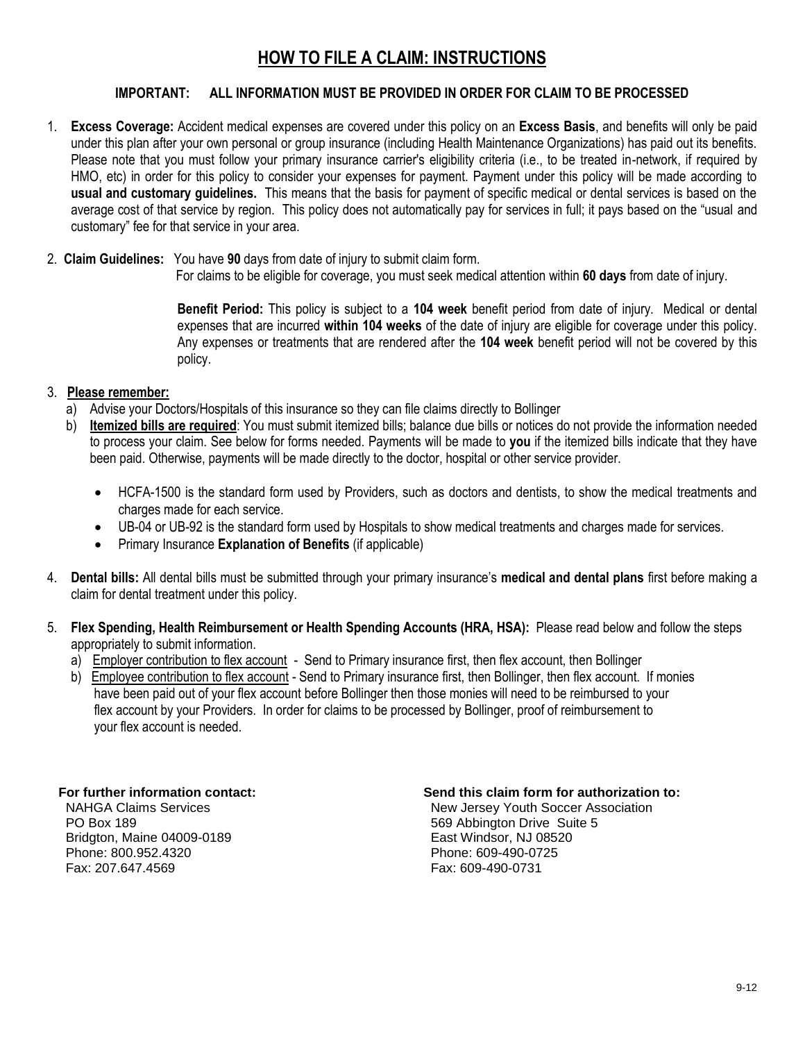# **HOW TO FILE A CLAIM: INSTRUCTIONS**

### **IMPORTANT: ALL INFORMATION MUST BE PROVIDED IN ORDER FOR CLAIM TO BE PROCESSED**

- 1. **Excess Coverage:** Accident medical expenses are covered under this policy on an **Excess Basis**, and benefits will only be paid under this plan after your own personal or group insurance (including Health Maintenance Organizations) has paid out its benefits. Please note that you must follow your primary insurance carrier's eligibility criteria (i.e., to be treated in-network, if required by HMO, etc) in order for this policy to consider your expenses for payment. Payment under this policy will be made according to **usual and customary guidelines.** This means that the basis for payment of specific medical or dental services is based on the average cost of that service by region. This policy does not automatically pay for services in full; it pays based on the "usual and customary" fee for that service in your area.
- 2. **Claim Guidelines:** You have **90** days from date of injury to submit claim form.
	- For claims to be eligible for coverage, you must seek medical attention within **60 days** from date of injury.

**Benefit Period:** This policy is subject to a **104 week** benefit period from date of injury. Medical or dental expenses that are incurred **within 104 weeks** of the date of injury are eligible for coverage under this policy. Any expenses or treatments that are rendered after the **104 week** benefit period will not be covered by this policy.

### 3. **Please remember:**

- a) Advise your Doctors/Hospitals of this insurance so they can file claims directly to Bollinger
- b) **Itemized bills are required**: You must submit itemized bills; balance due bills or notices do not provide the information needed to process your claim. See below for forms needed. Payments will be made to **you** if the itemized bills indicate that they have been paid. Otherwise, payments will be made directly to the doctor, hospital or other service provider.
	- HCFA-1500 is the standard form used by Providers, such as doctors and dentists, to show the medical treatments and charges made for each service.
	- UB-04 or UB-92 is the standard form used by Hospitals to show medical treatments and charges made for services.
	- Primary Insurance **Explanation of Benefits** (if applicable)
- 4. **Dental bills:** All dental bills must be submitted through your primary insurance's **medical and dental plans** first before making a claim for dental treatment under this policy.
- 5. **Flex Spending, Health Reimbursement or Health Spending Accounts (HRA, HSA):** Please read below and follow the steps appropriately to submit information.
	- a) Employer contribution to flex account Send to Primary insurance first, then flex account, then Bollinger
	- b) Employee contribution to flex account Send to Primary insurance first, then Bollinger, then flex account. If monies have been paid out of your flex account before Bollinger then those monies will need to be reimbursed to your flex account by your Providers. In order for claims to be processed by Bollinger, proof of reimbursement to your flex account is needed.

**Bridgton, Maine 04009-0189** entitled and the main metal match of the Basic Windsor, NJ 08520<br>
Phone: 800.952.4320<br>
Phone: 609-490-0725 Fax: 207.647.4569 Fax: 609-490-0731

### **For further information contact: Send this claim form for authorization to:**

NAHGA Claims Services New Jersey Youth Soccer Association **PO Box 189 189 189 189 189 189 189 189 189 189 189 189 189 189 189 189 189 189 189 189 189 189 189 189 189 189 189 189 189 189 189 189 189 189 189 189** Phone: 609-490-0725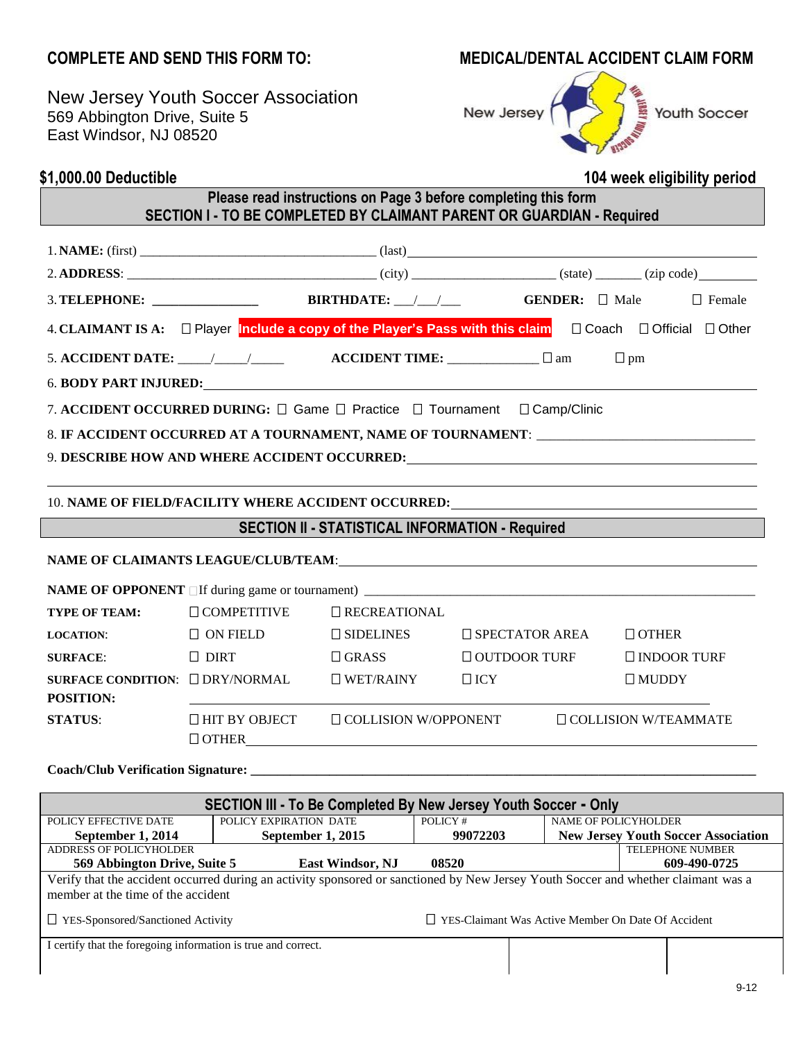## **COMPLETE AND SEND THIS FORM TO: MEDICAL/DENTAL ACCIDENT CLAIM FORM**

New Jersey Youth Soccer Association 569 Abbington Drive, Suite 5 East Windsor, NJ 08520



# **\$1,000.00 Deductible 104 week eligibility period**

## **Please read instructions on Page 3 before completing this form SECTION I - TO BE COMPLETED BY CLAIMANT PARENT OR GUARDIAN - Required**

|                                                                                                                                                                                                                                |                                                                                   |                             |                          | $\Box$ Female                                                                                                  |  |  |  |
|--------------------------------------------------------------------------------------------------------------------------------------------------------------------------------------------------------------------------------|-----------------------------------------------------------------------------------|-----------------------------|--------------------------|----------------------------------------------------------------------------------------------------------------|--|--|--|
|                                                                                                                                                                                                                                |                                                                                   |                             |                          | 4. CLAIMANT IS A: Player Include a copy of the Player's Pass with this claim <b>D</b> Coach D Official D Other |  |  |  |
|                                                                                                                                                                                                                                | 5. ACCIDENT DATE: $\_\_\_\_\_\_\_\_\_\_\$ ACCIDENT TIME: $\_\_\_\_\_\_\_\_\_\$ am |                             |                          | $\Box$ pm                                                                                                      |  |  |  |
|                                                                                                                                                                                                                                |                                                                                   |                             |                          |                                                                                                                |  |  |  |
| 7. ACCIDENT OCCURRED DURING: $\Box$ Game $\Box$ Practice $\Box$ Tournament $\Box$ Camp/Clinic                                                                                                                                  |                                                                                   |                             |                          |                                                                                                                |  |  |  |
|                                                                                                                                                                                                                                |                                                                                   |                             |                          |                                                                                                                |  |  |  |
|                                                                                                                                                                                                                                |                                                                                   |                             |                          | 9. DESCRIBE HOW AND WHERE ACCIDENT OCCURRED: ___________________________________                               |  |  |  |
|                                                                                                                                                                                                                                |                                                                                   |                             |                          |                                                                                                                |  |  |  |
|                                                                                                                                                                                                                                |                                                                                   |                             |                          | 10. NAME OF FIELD/FACILITY WHERE ACCIDENT OCCURRED: _____________________________                              |  |  |  |
| <b>SECTION II - STATISTICAL INFORMATION - Required</b>                                                                                                                                                                         |                                                                                   |                             |                          |                                                                                                                |  |  |  |
| NAME OF CLAIMANTS LEAGUE/CLUB/TEAM: THE CONSTRUCTION OF CLAIMANTS AND THE CONSTRUCTION OF THE CONSTRUCTION OF THE CONSTRUCTION OF THE CONSTRUCTION OF THE CONSTRUCTION OF THE CONSTRUCTION OF THE CONSTRUCTION OF THE CONSTRUC |                                                                                   |                             |                          |                                                                                                                |  |  |  |
|                                                                                                                                                                                                                                |                                                                                   |                             |                          |                                                                                                                |  |  |  |
| <b>TYPE OF TEAM:</b>                                                                                                                                                                                                           | $\Box$ COMPETITIVE                                                                | <b>O</b> RECREATIONAL       |                          |                                                                                                                |  |  |  |
| <b>LOCATION:</b>                                                                                                                                                                                                               | $\Box$ ON FIELD                                                                   | $\square$ SIDELINES         | $\square$ SPECTATOR AREA | $\Box$ OTHER                                                                                                   |  |  |  |
| <b>SURFACE:</b>                                                                                                                                                                                                                | $\Box$ DIRT                                                                       | $\Box$ GRASS                | $\Box$ OUTDOOR TURF      | $\square$ INDOOR TURF                                                                                          |  |  |  |
|                                                                                                                                                                                                                                | SURFACE CONDITION: □ DRY/NORMAL                                                   | $\Box$ WET/RAINY            | $\Box$ ICY               | $\Box$ MUDDY                                                                                                   |  |  |  |
| POSITION:                                                                                                                                                                                                                      |                                                                                   |                             |                          |                                                                                                                |  |  |  |
| <b>STATUS:</b>                                                                                                                                                                                                                 | $\Box$ HIT BY OBJECT<br>$\Box$ OTHER $\Box$                                       | $\Box$ COLLISION W/OPPONENT |                          | $\Box$ COLLISION W/TEAMMATE                                                                                    |  |  |  |

**Coach/Club Verification Signature: \_\_\_\_\_\_\_\_\_\_\_\_\_\_\_\_\_\_\_\_\_\_\_\_\_\_\_\_\_\_\_\_\_\_\_\_\_\_\_\_\_\_\_\_\_\_\_\_\_\_\_\_\_\_\_\_\_\_\_\_\_\_\_\_\_\_\_\_\_\_\_\_\_\_\_\_\_**

| SECTION III - To Be Completed By New Jersey Youth Soccer - Only                                                                                                          |                        |                                                           |                      |                                            |  |  |  |  |
|--------------------------------------------------------------------------------------------------------------------------------------------------------------------------|------------------------|-----------------------------------------------------------|----------------------|--------------------------------------------|--|--|--|--|
| POLICY EFFECTIVE DATE                                                                                                                                                    | POLICY EXPIRATION DATE | POLICY#                                                   | NAME OF POLICYHOLDER |                                            |  |  |  |  |
| September 1, 2014                                                                                                                                                        | September 1, 2015      | 99072203                                                  |                      | <b>New Jersey Youth Soccer Association</b> |  |  |  |  |
| ADDRESS OF POLICYHOLDER                                                                                                                                                  |                        |                                                           |                      | <b>TELEPHONE NUMBER</b>                    |  |  |  |  |
| 569 Abbington Drive, Suite 5                                                                                                                                             |                        | 609-490-0725                                              |                      |                                            |  |  |  |  |
| Verify that the accident occurred during an activity sponsored or sanctioned by New Jersey Youth Soccer and whether claimant was a<br>member at the time of the accident |                        |                                                           |                      |                                            |  |  |  |  |
| YES-Sponsored/Sanctioned Activity                                                                                                                                        |                        | $\Box$ YES-Claimant Was Active Member On Date Of Accident |                      |                                            |  |  |  |  |
| I certify that the foregoing information is true and correct.                                                                                                            |                        |                                                           |                      |                                            |  |  |  |  |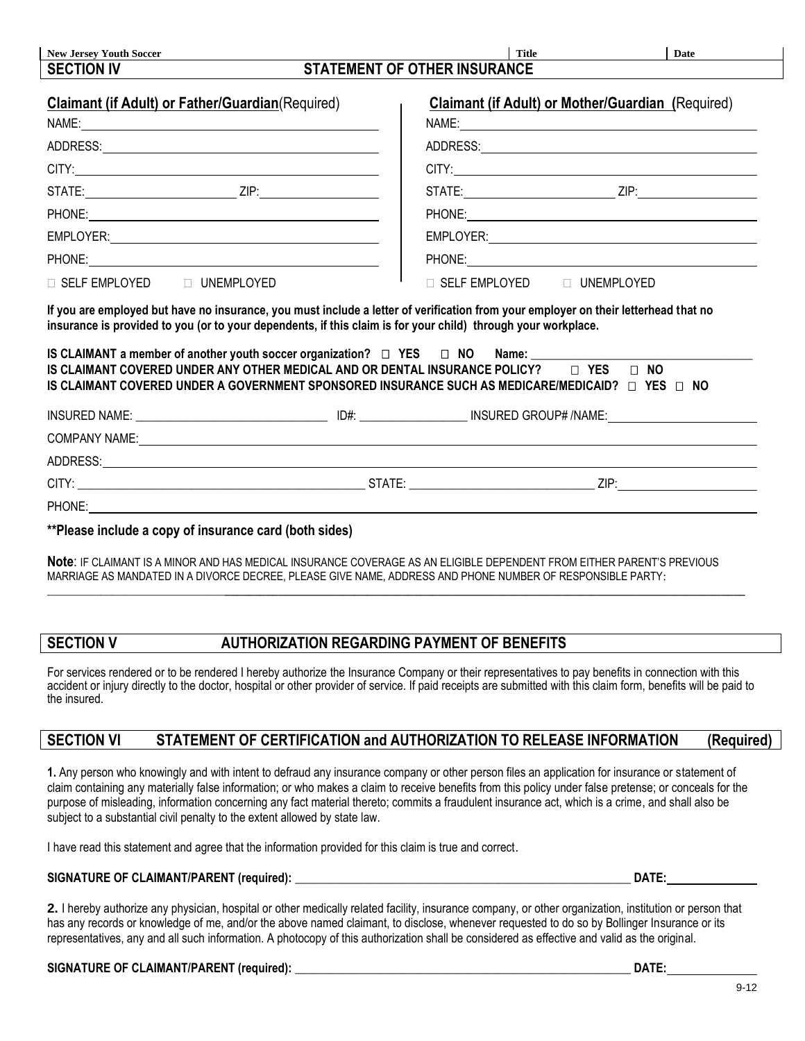| <b>New Jersey Youth Soccer</b><br><b>SECTION IV</b>      | <b>Title</b><br>Date<br><b>STATEMENT OF OTHER INSURANCE</b>                                                                                                                                                                                                                                                                                                                                                                                   |
|----------------------------------------------------------|-----------------------------------------------------------------------------------------------------------------------------------------------------------------------------------------------------------------------------------------------------------------------------------------------------------------------------------------------------------------------------------------------------------------------------------------------|
|                                                          |                                                                                                                                                                                                                                                                                                                                                                                                                                               |
| <b>Claimant (if Adult) or Father/Guardian (Required)</b> | <b>Claimant (if Adult) or Mother/Guardian (Required)</b>                                                                                                                                                                                                                                                                                                                                                                                      |
| NAME: <u>www.community.community.community.com</u>       | NAME: $\qquad \qquad$                                                                                                                                                                                                                                                                                                                                                                                                                         |
|                                                          |                                                                                                                                                                                                                                                                                                                                                                                                                                               |
| CITY:                                                    | CITY:                                                                                                                                                                                                                                                                                                                                                                                                                                         |
|                                                          |                                                                                                                                                                                                                                                                                                                                                                                                                                               |
|                                                          |                                                                                                                                                                                                                                                                                                                                                                                                                                               |
|                                                          |                                                                                                                                                                                                                                                                                                                                                                                                                                               |
|                                                          |                                                                                                                                                                                                                                                                                                                                                                                                                                               |
|                                                          |                                                                                                                                                                                                                                                                                                                                                                                                                                               |
|                                                          | □ SELF EMPLOYED □ UNEMPLOYED                                                                                                                                                                                                                                                                                                                                                                                                                  |
|                                                          | If you are employed but have no insurance, you must include a letter of verification from your employer on their letterhead that no<br>insurance is provided to you (or to your dependents, if this claim is for your child) through your workplace.<br>IS CLAIMANT a member of another youth soccer organization? □ YES □ NO Name: _____<br>IS CLAIMANT COVERED UNDER ANY OTHER MEDICAL AND OR DENTAL INSURANCE POLICY? $\Box$ YES $\Box$ NO |
|                                                          | IS CLAIMANT COVERED UNDER A GOVERNMENT SPONSORED INSURANCE SUCH AS MEDICARE/MEDICAID? $\Box$ YES $\Box$ NO                                                                                                                                                                                                                                                                                                                                    |
|                                                          |                                                                                                                                                                                                                                                                                                                                                                                                                                               |
|                                                          |                                                                                                                                                                                                                                                                                                                                                                                                                                               |
|                                                          |                                                                                                                                                                                                                                                                                                                                                                                                                                               |
| □ SELF EMPLOYED □ UNEMPLOYED                             |                                                                                                                                                                                                                                                                                                                                                                                                                                               |

**Note**: IF CLAIMANT IS A MINOR AND HAS MEDICAL INSURANCE COVERAGE AS AN ELIGIBLE DEPENDENT FROM EITHER PARENT'S PREVIOUS

MARRIAGE AS MANDATED IN A DIVORCE DECREE, PLEASE GIVE NAME, ADDRESS AND PHONE NUMBER OF RESPONSIBLE PARTY: \_\_\_\_\_\_\_\_\_\_\_\_\_\_\_\_\_\_\_\_\_\_\_\_\_\_\_\_\_\_**\_\_\_\_\_\_\_\_\_\_\_\_\_\_\_\_\_\_\_\_\_\_\_\_\_\_\_\_\_\_\_\_\_\_\_\_\_\_\_\_\_\_\_\_\_\_\_\_\_\_\_\_\_\_\_\_\_\_\_\_\_\_\_\_\_\_\_\_\_\_\_\_\_\_\_\_\_\_\_\_\_\_\_\_\_\_\_\_**

# **SECTION V AUTHORIZATION REGARDING PAYMENT OF BENEFITS**

For services rendered or to be rendered I hereby authorize the Insurance Company or their representatives to pay benefits in connection with this accident or injury directly to the doctor, hospital or other provider of service. If paid receipts are submitted with this claim form, benefits will be paid to the insured.

### **SECTION VI STATEMENT OF CERTIFICATION and AUTHORIZATION TO RELEASE INFORMATION (Required)**

**1.** Any person who knowingly and with intent to defraud any insurance company or other person files an application for insurance or statement of claim containing any materially false information; or who makes a claim to receive benefits from this policy under false pretense; or conceals for the purpose of misleading, information concerning any fact material thereto; commits a fraudulent insurance act, which is a crime, and shall also be subject to a substantial civil penalty to the extent allowed by state law.

I have read this statement and agree that the information provided for this claim is true and correct.

### **SIGNATURE OF CLAIMANT/PARENT (required):** \_\_\_\_\_\_\_\_\_\_\_\_\_\_\_\_\_\_\_\_\_\_\_\_\_\_\_\_\_\_\_\_\_\_\_\_\_\_\_\_\_\_\_\_\_\_\_\_\_\_\_\_\_\_\_\_ **DATE:**

**2.** I hereby authorize any physician, hospital or other medically related facility, insurance company, or other organization, institution or person that has any records or knowledge of me, and/or the above named claimant, to disclose, whenever requested to do so by Bollinger Insurance or its representatives, any and all such information. A photocopy of this authorization shall be considered as effective and valid as the original.

| SIGNATURE OF CLAIMANT/PARENT (required): |  |  |
|------------------------------------------|--|--|
|------------------------------------------|--|--|